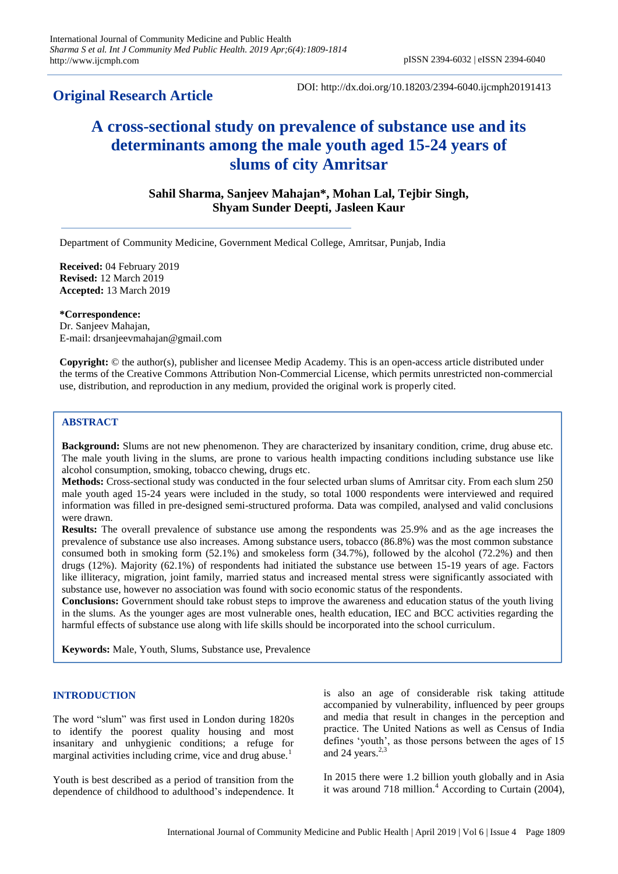# **Original Research Article**

DOI: http://dx.doi.org/10.18203/2394-6040.ijcmph20191413

# **A cross-sectional study on prevalence of substance use and its determinants among the male youth aged 15-24 years of slums of city Amritsar**

**Sahil Sharma, Sanjeev Mahajan\*, Mohan Lal, Tejbir Singh, Shyam Sunder Deepti, Jasleen Kaur**

Department of Community Medicine, Government Medical College, Amritsar, Punjab, India

**Received:** 04 February 2019 **Revised:** 12 March 2019 **Accepted:** 13 March 2019

**\*Correspondence:** Dr. Sanjeev Mahajan, E-mail: drsanjeevmahajan@gmail.com

**Copyright:** © the author(s), publisher and licensee Medip Academy. This is an open-access article distributed under the terms of the Creative Commons Attribution Non-Commercial License, which permits unrestricted non-commercial use, distribution, and reproduction in any medium, provided the original work is properly cited.

# **ABSTRACT**

**Background:** Slums are not new phenomenon. They are characterized by insanitary condition, crime, drug abuse etc. The male youth living in the slums, are prone to various health impacting conditions including substance use like alcohol consumption, smoking, tobacco chewing, drugs etc.

**Methods:** Cross-sectional study was conducted in the four selected urban slums of Amritsar city. From each slum 250 male youth aged 15-24 years were included in the study, so total 1000 respondents were interviewed and required information was filled in pre-designed semi-structured proforma. Data was compiled, analysed and valid conclusions were drawn.

**Results:** The overall prevalence of substance use among the respondents was 25.9% and as the age increases the prevalence of substance use also increases. Among substance users, tobacco (86.8%) was the most common substance consumed both in smoking form (52.1%) and smokeless form (34.7%), followed by the alcohol (72.2%) and then drugs (12%). Majority (62.1%) of respondents had initiated the substance use between 15-19 years of age. Factors like illiteracy, migration, joint family, married status and increased mental stress were significantly associated with substance use, however no association was found with socio economic status of the respondents.

**Conclusions:** Government should take robust steps to improve the awareness and education status of the youth living in the slums. As the younger ages are most vulnerable ones, health education, IEC and BCC activities regarding the harmful effects of substance use along with life skills should be incorporated into the school curriculum.

**Keywords:** Male, Youth, Slums, Substance use, Prevalence

#### **INTRODUCTION**

The word "slum" was first used in London during 1820s to identify the poorest quality housing and most insanitary and unhygienic conditions; a refuge for marginal activities including crime, vice and drug abuse.<sup>1</sup>

Youth is best described as a period of transition from the dependence of childhood to adulthood"s independence. It is also an age of considerable risk taking attitude accompanied by vulnerability, influenced by peer groups and media that result in changes in the perception and practice. The United Nations as well as Census of India defines 'youth', as those persons between the ages of 15 and 24 years. $2,3$ 

In 2015 there were 1.2 billion youth globally and in Asia it was around 718 million. $4$  According to Curtain (2004),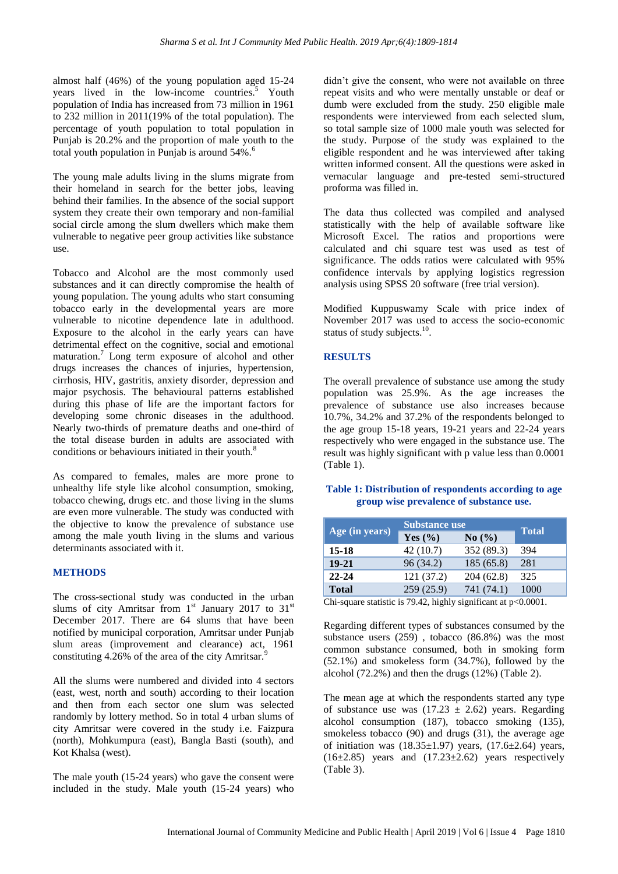almost half (46%) of the young population aged 15-24 years lived in the low-income countries.<sup>5</sup> Youth population of India has increased from 73 million in 1961 to 232 million in 2011(19% of the total population). The percentage of youth population to total population in Punjab is 20.2% and the proportion of male youth to the total youth population in Punjab is around  $54\%$ .<sup>6</sup>

The young male adults living in the slums migrate from their homeland in search for the better jobs, leaving behind their families. In the absence of the social support system they create their own temporary and non-familial social circle among the slum dwellers which make them vulnerable to negative peer group activities like substance use.

Tobacco and Alcohol are the most commonly used substances and it can directly compromise the health of young population. The young adults who start consuming tobacco early in the developmental years are more vulnerable to nicotine dependence late in adulthood. Exposure to the alcohol in the early years can have detrimental effect on the cognitive, social and emotional maturation.<sup>7</sup> Long term exposure of alcohol and other drugs increases the chances of injuries, hypertension, cirrhosis, HIV, gastritis, anxiety disorder, depression and major psychosis. The behavioural patterns established during this phase of life are the important factors for developing some chronic diseases in the adulthood. Nearly two-thirds of premature deaths and one-third of the total disease burden in adults are associated with conditions or behaviours initiated in their youth.<sup>8</sup>

As compared to females, males are more prone to unhealthy life style like alcohol consumption, smoking, tobacco chewing, drugs etc. and those living in the slums are even more vulnerable. The study was conducted with the objective to know the prevalence of substance use among the male youth living in the slums and various determinants associated with it.

# **METHODS**

The cross-sectional study was conducted in the urban slums of city Amritsar from  $1<sup>st</sup>$  January 2017 to 31<sup>st</sup> December 2017. There are 64 slums that have been notified by municipal corporation, Amritsar under Punjab slum areas (improvement and clearance) act, 1961 constituting  $4.26\%$  of the area of the city Amritsar.<sup>9</sup>

All the slums were numbered and divided into 4 sectors (east, west, north and south) according to their location and then from each sector one slum was selected randomly by lottery method. So in total 4 urban slums of city Amritsar were covered in the study i.e. Faizpura (north), Mohkumpura (east), Bangla Basti (south), and Kot Khalsa (west).

The male youth (15-24 years) who gave the consent were included in the study. Male youth (15-24 years) who didn't give the consent, who were not available on three repeat visits and who were mentally unstable or deaf or dumb were excluded from the study. 250 eligible male respondents were interviewed from each selected slum, so total sample size of 1000 male youth was selected for the study. Purpose of the study was explained to the eligible respondent and he was interviewed after taking written informed consent. All the questions were asked in vernacular language and pre-tested semi-structured proforma was filled in.

The data thus collected was compiled and analysed statistically with the help of available software like Microsoft Excel. The ratios and proportions were calculated and chi square test was used as test of significance. The odds ratios were calculated with 95% confidence intervals by applying logistics regression analysis using SPSS 20 software (free trial version).

Modified Kuppuswamy Scale with price index of November 2017 was used to access the socio-economic status of study subjects.<sup>10</sup>.

# **RESULTS**

The overall prevalence of substance use among the study population was 25.9%. As the age increases the prevalence of substance use also increases because 10.7%, 34.2% and 37.2% of the respondents belonged to the age group 15-18 years, 19-21 years and 22-24 years respectively who were engaged in the substance use. The result was highly significant with p value less than 0.0001 (Table 1).

#### **Table 1: Distribution of respondents according to age group wise prevalence of substance use.**

| Age (in years) | <b>Substance use</b> |            |              |
|----------------|----------------------|------------|--------------|
|                | Yes $(\% )$          | No(%)      | <b>Total</b> |
| 15-18          | 42 (10.7)            | 352 (89.3) | 394          |
| $19 - 21$      | 96 (34.2)            | 185(65.8)  | 281          |
| $22 - 24$      | 121 (37.2)           | 204 (62.8) | 325          |
| <b>Total</b>   | 259(25.9)            | 741 (74.1) | 1000         |

Chi-square statistic is 79.42, highly significant at p<0.0001.

Regarding different types of substances consumed by the substance users (259) , tobacco (86.8%) was the most common substance consumed, both in smoking form (52.1%) and smokeless form (34.7%), followed by the alcohol (72.2%) and then the drugs (12%) (Table 2).

The mean age at which the respondents started any type of substance use was  $(17.23 \pm 2.62)$  years. Regarding alcohol consumption (187), tobacco smoking (135), smokeless tobacco (90) and drugs (31), the average age of initiation was  $(18.35\pm1.97)$  years,  $(17.6\pm2.64)$  years,  $(16\pm2.85)$  years and  $(17.23\pm2.62)$  years respectively (Table 3).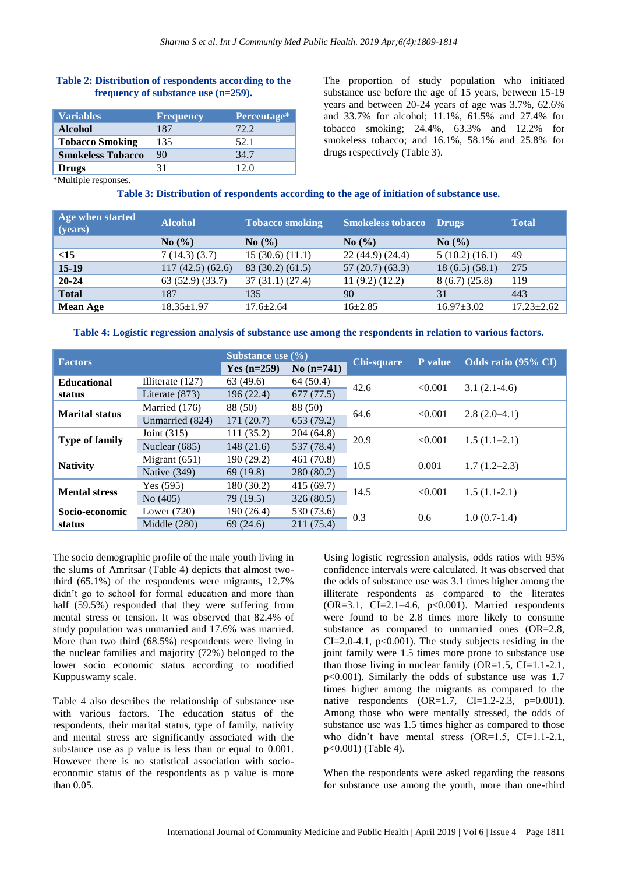# **Table 2: Distribution of respondents according to the frequency of substance use (n=259).**

| <b>Variables</b>         | <b>Frequency</b> | Percentage* |
|--------------------------|------------------|-------------|
| <b>Alcohol</b>           | 187              | 72.2        |
| <b>Tobacco Smoking</b>   | 135              | 52.1        |
| <b>Smokeless Tobacco</b> | 90               | 34.7        |
| <b>Drugs</b>             | 31               | 12 O        |

The proportion of study population who initiated substance use before the age of 15 years, between 15-19 years and between 20-24 years of age was 3.7%, 62.6% and 33.7% for alcohol; 11.1%, 61.5% and 27.4% for tobacco smoking; 24.4%, 63.3% and 12.2% for smokeless tobacco; and 16.1%, 58.1% and 25.8% for drugs respectively (Table 3).

\*Multiple responses.

**Table 3: Distribution of respondents according to the age of initiation of substance use.**

| Age when started<br>(years) | <b>Alcohol</b>     | <b>Tobacco smoking</b>        | <b>Smokeless tobacco</b>      | <b>Drugs</b>       | <b>Total</b>     |
|-----------------------------|--------------------|-------------------------------|-------------------------------|--------------------|------------------|
|                             | $\mathrm{No}(\% )$ | No $\left(\frac{9}{6}\right)$ | No $\left(\frac{9}{6}\right)$ | $\mathrm{No}(\% )$ |                  |
| <15                         | 7(14.3)(3.7)       | 15(30.6)(11.1)                | 22 (44.9) (24.4)              | 5(10.2)(16.1)      | 49               |
| $15-19$                     | 117(42.5)(62.6)    | 83(30.2)(61.5)                | 57(20.7)(63.3)                | 18(6.5)(58.1)      | 275              |
| $20 - 24$                   | 63(52.9)(33.7)     | 37(31.1)(27.4)                | 11(9.2)(12.2)                 | 8(6.7)(25.8)       | 119              |
| <b>Total</b>                | 187                | 135                           | 90                            | 31                 | 443              |
| <b>Mean Age</b>             | $18.35 \pm 1.97$   | $17.6 + 2.64$                 | $16+2.85$                     | $16.97 \pm 3.02$   | $17.23 \pm 2.62$ |

|  |  | Table 4: Logistic regression analysis of substance use among the respondents in relation to various factors. |  |  |  |
|--|--|--------------------------------------------------------------------------------------------------------------|--|--|--|
|  |  |                                                                                                              |  |  |  |

| <b>Factors</b>        |                    | <b>Substance</b> use $(\% )$ |             |                   | P value | Odds ratio (95% CI) |  |
|-----------------------|--------------------|------------------------------|-------------|-------------------|---------|---------------------|--|
|                       |                    | Yes $(n=259)$                | $No(n=741)$ | <b>Chi-square</b> |         |                     |  |
| <b>Educational</b>    | Illiterate $(127)$ | 63(49.6)                     | 64(50.4)    | 42.6              | < 0.001 | $3.1(2.1-4.6)$      |  |
| status                | Literate (873)     | 196(22.4)                    | 677(77.5)   |                   |         |                     |  |
| <b>Marital status</b> | Married (176)      | 88 (50)                      | 88 (50)     | 64.6              | < 0.001 | $2.8(2.0-4.1)$      |  |
|                       | Unmarried (824)    | 171(20.7)                    | 653 (79.2)  |                   |         |                     |  |
|                       | Joint (315)        | 111(35.2)                    | 204(64.8)   | 20.9              | < 0.001 | $1.5(1.1-2.1)$      |  |
| <b>Type of family</b> | Nuclear (685)      | 148(21.6)                    | 537 (78.4)  |                   |         |                     |  |
|                       | Migrant $(651)$    | 190 (29.2)                   | 461 (70.8)  | 10.5              | 0.001   | $1.7(1.2-2.3)$      |  |
| <b>Nativity</b>       | Native (349)       | 69(19.8)                     | 280 (80.2)  |                   |         |                     |  |
| <b>Mental stress</b>  | Yes (595)          | 180 (30.2)                   | 415(69.7)   | 14.5              | < 0.001 | $1.5(1.1-2.1)$      |  |
|                       | No(405)            | 79 (19.5)                    | 326 (80.5)  |                   |         |                     |  |
| Socio-economic        | Lower $(720)$      | 190 (26.4)                   | 530 (73.6)  | 0.3               | 0.6     | $1.0(0.7-1.4)$      |  |
| status                | Middle $(280)$     | 69(24.6)                     | 211 (75.4)  |                   |         |                     |  |

The socio demographic profile of the male youth living in the slums of Amritsar (Table 4) depicts that almost twothird (65.1%) of the respondents were migrants, 12.7% didn"t go to school for formal education and more than half (59.5%) responded that they were suffering from mental stress or tension. It was observed that 82.4% of study population was unmarried and 17.6% was married. More than two third (68.5%) respondents were living in the nuclear families and majority (72%) belonged to the lower socio economic status according to modified Kuppuswamy scale.

Table 4 also describes the relationship of substance use with various factors. The education status of the respondents, their marital status, type of family, nativity and mental stress are significantly associated with the substance use as p value is less than or equal to 0.001. However there is no statistical association with socioeconomic status of the respondents as p value is more than 0.05.

Using logistic regression analysis, odds ratios with 95% confidence intervals were calculated. It was observed that the odds of substance use was 3.1 times higher among the illiterate respondents as compared to the literates  $(OR=3.1, CI=2.1-4.6, p<0.001)$ . Married respondents were found to be 2.8 times more likely to consume substance as compared to unmarried ones (OR=2.8, CI=2.0-4.1,  $p<0.001$ ). The study subjects residing in the joint family were 1.5 times more prone to substance use than those living in nuclear family  $(OR=1.5, CI=1.1-2.1,$ p<0.001). Similarly the odds of substance use was 1.7 times higher among the migrants as compared to the native respondents  $(OR=1.7, CI=1.2-2.3, p=0.001)$ . Among those who were mentally stressed, the odds of substance use was 1.5 times higher as compared to those who didn't have mental stress  $(OR=1.5, CI=1.1-2.1,$ p<0.001) (Table 4).

When the respondents were asked regarding the reasons for substance use among the youth, more than one-third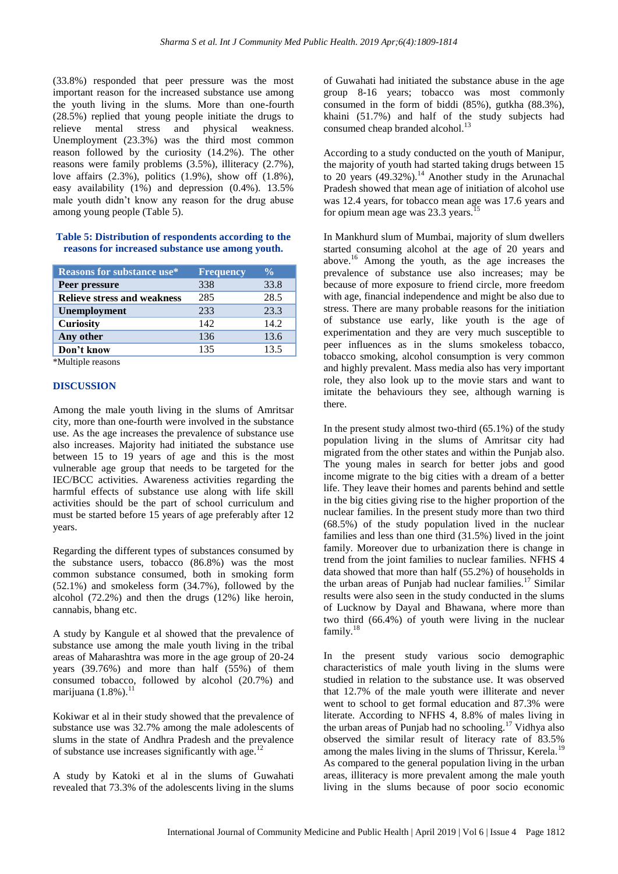(33.8%) responded that peer pressure was the most important reason for the increased substance use among the youth living in the slums. More than one-fourth (28.5%) replied that young people initiate the drugs to relieve mental stress and physical weakness. Unemployment (23.3%) was the third most common reason followed by the curiosity (14.2%). The other reasons were family problems (3.5%), illiteracy (2.7%), love affairs (2.3%), politics (1.9%), show off (1.8%), easy availability (1%) and depression (0.4%). 13.5% male youth didn"t know any reason for the drug abuse among young people (Table 5).

#### **Table 5: Distribution of respondents according to the reasons for increased substance use among youth.**

| <b>Reasons for substance use*</b>  | <b>Frequency</b> | $\frac{0}{0}$ |
|------------------------------------|------------------|---------------|
| Peer pressure                      | 338              | 33.8          |
| <b>Relieve stress and weakness</b> | 285              | 28.5          |
| Unemployment                       | 233              | 23.3          |
| <b>Curiosity</b>                   | 142              | 14.2          |
| Any other                          | 136              | 13.6          |
| Don't know                         | 135              | 13.5          |
| $45.5 + 1.7 + 1$                   |                  |               |

\*Multiple reasons

#### **DISCUSSION**

Among the male youth living in the slums of Amritsar city, more than one-fourth were involved in the substance use. As the age increases the prevalence of substance use also increases. Majority had initiated the substance use between 15 to 19 years of age and this is the most vulnerable age group that needs to be targeted for the IEC/BCC activities. Awareness activities regarding the harmful effects of substance use along with life skill activities should be the part of school curriculum and must be started before 15 years of age preferably after 12 years.

Regarding the different types of substances consumed by the substance users, tobacco (86.8%) was the most common substance consumed, both in smoking form (52.1%) and smokeless form (34.7%), followed by the alcohol (72.2%) and then the drugs (12%) like heroin, cannabis, bhang etc.

A study by Kangule et al showed that the prevalence of substance use among the male youth living in the tribal areas of Maharashtra was more in the age group of 20-24 years (39.76%) and more than half (55%) of them consumed tobacco, followed by alcohol (20.7%) and marijuana  $(1.8\%)$ .<sup>11</sup>

Kokiwar et al in their study showed that the prevalence of substance use was 32.7% among the male adolescents of slums in the state of Andhra Pradesh and the prevalence of substance use increases significantly with age.<sup>12</sup>

A study by Katoki et al in the slums of Guwahati revealed that 73.3% of the adolescents living in the slums of Guwahati had initiated the substance abuse in the age group 8-16 years; tobacco was most commonly consumed in the form of biddi (85%), gutkha (88.3%), khaini (51.7%) and half of the study subjects had consumed cheap branded alcohol.<sup>13</sup>

According to a study conducted on the youth of Manipur, the majority of youth had started taking drugs between 15 to 20 years  $(49.32\%)$ .<sup>14</sup> Another study in the Arunachal Pradesh showed that mean age of initiation of alcohol use was 12.4 years, for tobacco mean age was 17.6 years and for opium mean age was 23.3 years.<sup>1</sup>

In Mankhurd slum of Mumbai, majority of slum dwellers started consuming alcohol at the age of 20 years and above.<sup>16</sup> Among the youth, as the age increases the prevalence of substance use also increases; may be because of more exposure to friend circle, more freedom with age, financial independence and might be also due to stress. There are many probable reasons for the initiation of substance use early, like youth is the age of experimentation and they are very much susceptible to peer influences as in the slums smokeless tobacco, tobacco smoking, alcohol consumption is very common and highly prevalent. Mass media also has very important role, they also look up to the movie stars and want to imitate the behaviours they see, although warning is there.

In the present study almost two-third  $(65.1\%)$  of the study population living in the slums of Amritsar city had migrated from the other states and within the Punjab also. The young males in search for better jobs and good income migrate to the big cities with a dream of a better life. They leave their homes and parents behind and settle in the big cities giving rise to the higher proportion of the nuclear families. In the present study more than two third (68.5%) of the study population lived in the nuclear families and less than one third (31.5%) lived in the joint family. Moreover due to urbanization there is change in trend from the joint families to nuclear families. NFHS 4 data showed that more than half (55.2%) of households in the urban areas of Punjab had nuclear families.<sup>17</sup> Similar results were also seen in the study conducted in the slums of Lucknow by Dayal and Bhawana, where more than two third (66.4%) of youth were living in the nuclear family.<sup>18</sup>

In the present study various socio demographic characteristics of male youth living in the slums were studied in relation to the substance use. It was observed that 12.7% of the male youth were illiterate and never went to school to get formal education and 87.3% were literate. According to NFHS 4, 8.8% of males living in the urban areas of Punjab had no schooling.<sup>17</sup> Vidhya also observed the similar result of literacy rate of 83.5% among the males living in the slums of Thrissur, Kerela.<sup>19</sup> As compared to the general population living in the urban areas, illiteracy is more prevalent among the male youth living in the slums because of poor socio economic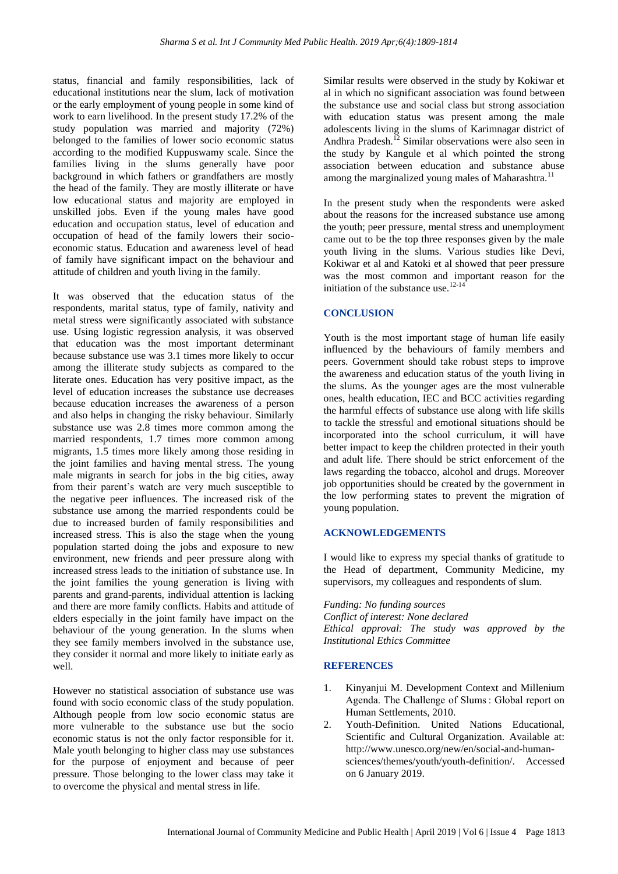status, financial and family responsibilities, lack of educational institutions near the slum, lack of motivation or the early employment of young people in some kind of work to earn livelihood. In the present study 17.2% of the study population was married and majority (72%) belonged to the families of lower socio economic status according to the modified Kuppuswamy scale. Since the families living in the slums generally have poor background in which fathers or grandfathers are mostly the head of the family. They are mostly illiterate or have low educational status and majority are employed in unskilled jobs. Even if the young males have good education and occupation status, level of education and occupation of head of the family lowers their socioeconomic status. Education and awareness level of head of family have significant impact on the behaviour and attitude of children and youth living in the family.

It was observed that the education status of the respondents, marital status, type of family, nativity and metal stress were significantly associated with substance use. Using logistic regression analysis, it was observed that education was the most important determinant because substance use was 3.1 times more likely to occur among the illiterate study subjects as compared to the literate ones. Education has very positive impact, as the level of education increases the substance use decreases because education increases the awareness of a person and also helps in changing the risky behaviour. Similarly substance use was 2.8 times more common among the married respondents, 1.7 times more common among migrants, 1.5 times more likely among those residing in the joint families and having mental stress. The young male migrants in search for jobs in the big cities, away from their parent"s watch are very much susceptible to the negative peer influences. The increased risk of the substance use among the married respondents could be due to increased burden of family responsibilities and increased stress. This is also the stage when the young population started doing the jobs and exposure to new environment, new friends and peer pressure along with increased stress leads to the initiation of substance use. In the joint families the young generation is living with parents and grand-parents, individual attention is lacking and there are more family conflicts. Habits and attitude of elders especially in the joint family have impact on the behaviour of the young generation. In the slums when they see family members involved in the substance use, they consider it normal and more likely to initiate early as well.

However no statistical association of substance use was found with socio economic class of the study population. Although people from low socio economic status are more vulnerable to the substance use but the socio economic status is not the only factor responsible for it. Male youth belonging to higher class may use substances for the purpose of enjoyment and because of peer pressure. Those belonging to the lower class may take it to overcome the physical and mental stress in life.

Similar results were observed in the study by Kokiwar et al in which no significant association was found between the substance use and social class but strong association with education status was present among the male adolescents living in the slums of Karimnagar district of Andhra Pradesh.<sup>12</sup> Similar observations were also seen in the study by Kangule et al which pointed the strong association between education and substance abuse among the marginalized young males of Maharashtra.<sup>11</sup>

In the present study when the respondents were asked about the reasons for the increased substance use among the youth; peer pressure, mental stress and unemployment came out to be the top three responses given by the male youth living in the slums. Various studies like Devi, Kokiwar et al and Katoki et al showed that peer pressure was the most common and important reason for the initiation of the substance use. $12-14$ 

# **CONCLUSION**

Youth is the most important stage of human life easily influenced by the behaviours of family members and peers. Government should take robust steps to improve the awareness and education status of the youth living in the slums. As the younger ages are the most vulnerable ones, health education, IEC and BCC activities regarding the harmful effects of substance use along with life skills to tackle the stressful and emotional situations should be incorporated into the school curriculum, it will have better impact to keep the children protected in their youth and adult life. There should be strict enforcement of the laws regarding the tobacco, alcohol and drugs. Moreover job opportunities should be created by the government in the low performing states to prevent the migration of young population.

#### **ACKNOWLEDGEMENTS**

I would like to express my special thanks of gratitude to the Head of department, Community Medicine, my supervisors, my colleagues and respondents of slum.

*Funding: No funding sources Conflict of interest: None declared Ethical approval: The study was approved by the Institutional Ethics Committee*

#### **REFERENCES**

- 1. Kinyanjui M. Development Context and Millenium Agenda. The Challenge of Slums : Global report on Human Settlements, 2010.
- 2. Youth-Definition. United Nations Educational, Scientific and Cultural Organization. Available at: http://www.unesco.org/new/en/social-and-humansciences/themes/youth/youth-definition/. Accessed on 6 January 2019.